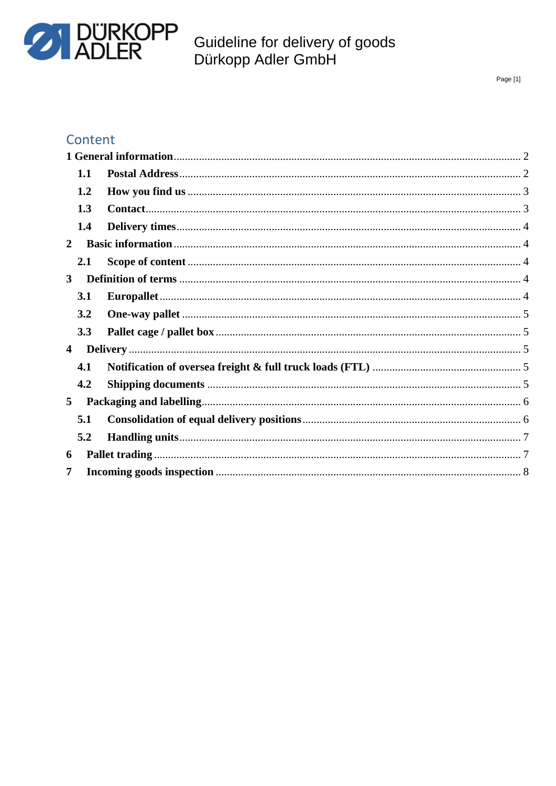

Page [1]

### Content

|                | 1.1 |  |  |
|----------------|-----|--|--|
|                | 1.2 |  |  |
|                | 1.3 |  |  |
|                | 1.4 |  |  |
| $\mathbf{2}$   |     |  |  |
|                | 2.1 |  |  |
| 3              |     |  |  |
|                | 3.1 |  |  |
|                | 3.2 |  |  |
|                | 3.3 |  |  |
| $\overline{4}$ |     |  |  |
|                | 4.1 |  |  |
|                | 4.2 |  |  |
| 5 <sup>5</sup> |     |  |  |
|                | 5.1 |  |  |
|                | 5.2 |  |  |
| 6              |     |  |  |
| $\overline{7}$ |     |  |  |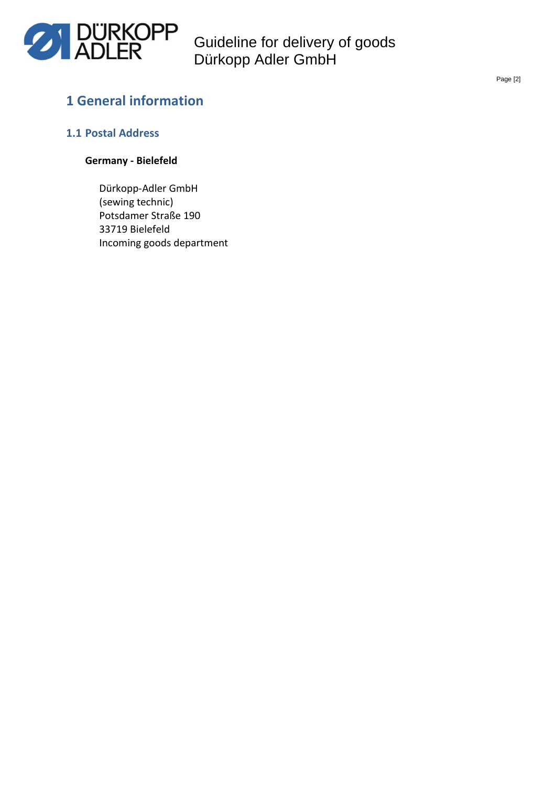

### <span id="page-1-0"></span>**1 General information**

#### <span id="page-1-1"></span>**1.1 Postal Address**

#### **Germany - Bielefeld**

Dürkopp-Adler GmbH (sewing technic) Potsdamer Straße 190 33719 Bielefeld Incoming goods department Page [2]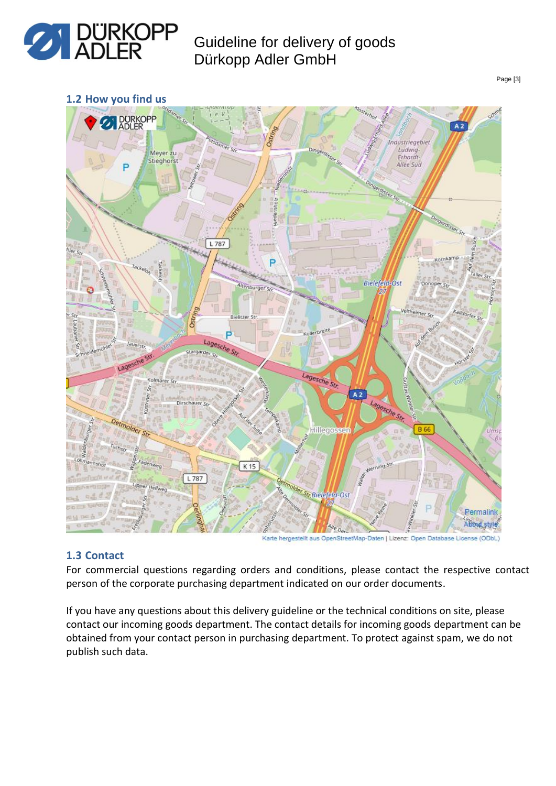

<span id="page-2-0"></span>**1.2 How you find us**



# Karte hergestellt aus OpenStreetMap-Daten | Lizenz: Open Database License (ODbL)

#### <span id="page-2-1"></span>**1.3 Contact**

For commercial questions regarding orders and conditions, please contact the respective contact person of the corporate purchasing department indicated on our order documents.

If you have any questions about this delivery guideline or the technical conditions on site, please contact our incoming goods department. The contact details for incoming goods department can be obtained from your contact person in purchasing department. To protect against spam, we do not publish such data.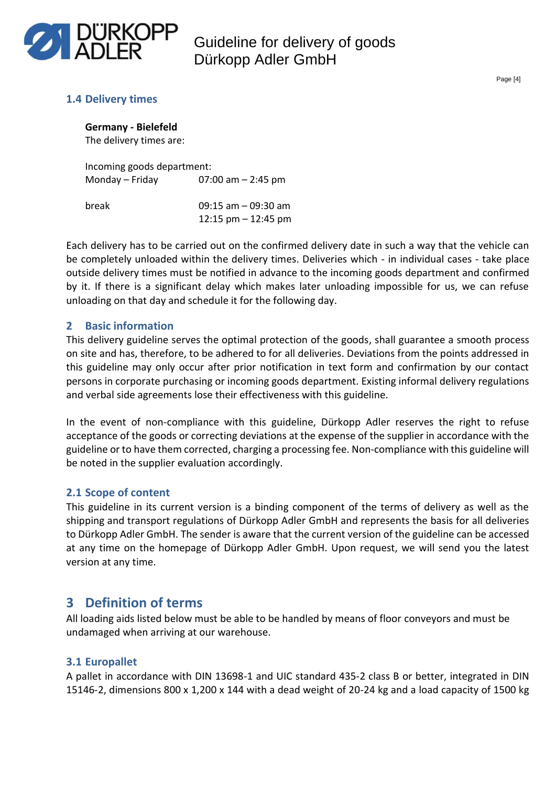

Page [4]

#### <span id="page-3-0"></span>**1.4 Delivery times**

**Germany - Bielefeld** The delivery times are:

Incoming goods department: Monday – Friday  $07:00$  am – 2:45 pm

break 09:15 am – 09:30 am 12:15 pm – 12:45 pm

Each delivery has to be carried out on the confirmed delivery date in such a way that the vehicle can be completely unloaded within the delivery times. Deliveries which - in individual cases - take place outside delivery times must be notified in advance to the incoming goods department and confirmed by it. If there is a significant delay which makes later unloading impossible for us, we can refuse unloading on that day and schedule it for the following day.

#### <span id="page-3-1"></span>**2 Basic information**

This delivery guideline serves the optimal protection of the goods, shall guarantee a smooth process on site and has, therefore, to be adhered to for all deliveries. Deviations from the points addressed in this guideline may only occur after prior notification in text form and confirmation by our contact persons in corporate purchasing or incoming goods department. Existing informal delivery regulations and verbal side agreements lose their effectiveness with this guideline.

In the event of non-compliance with this guideline, Dürkopp Adler reserves the right to refuse acceptance of the goods or correcting deviations at the expense of the supplier in accordance with the guideline or to have them corrected, charging a processing fee. Non-compliance with this guideline will be noted in the supplier evaluation accordingly.

#### <span id="page-3-2"></span>**2.1 Scope of content**

This guideline in its current version is a binding component of the terms of delivery as well as the shipping and transport regulations of Dürkopp Adler GmbH and represents the basis for all deliveries to Dürkopp Adler GmbH. The sender is aware that the current version of the guideline can be accessed at any time on the homepage of Dürkopp Adler GmbH. Upon request, we will send you the latest version at any time.

### <span id="page-3-3"></span>**3 Definition of terms**

All loading aids listed below must be able to be handled by means of floor conveyors and must be undamaged when arriving at our warehouse.

#### <span id="page-3-4"></span>**3.1 Europallet**

A pallet in accordance with DIN 13698-1 and UIC standard 435-2 class B or better, integrated in DIN 15146-2, dimensions 800 x 1,200 x 144 with a dead weight of 20-24 kg and a load capacity of 1500 kg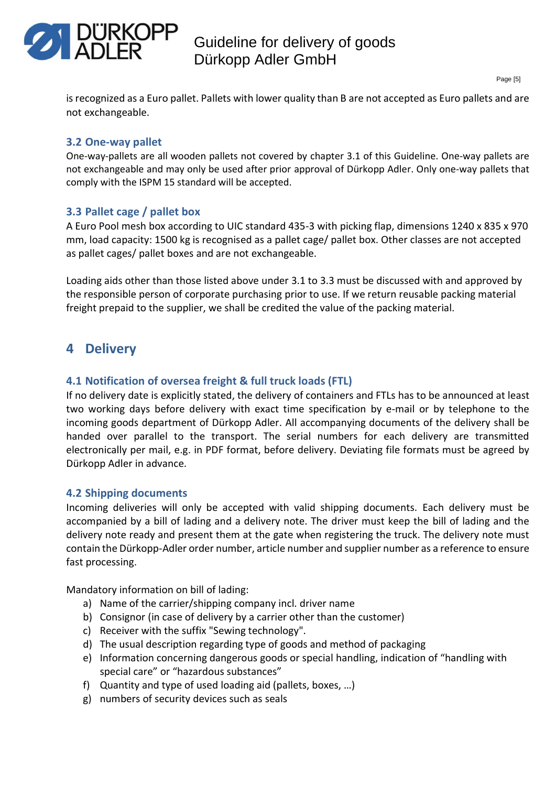

is recognized as a Euro pallet. Pallets with lower quality than B are not accepted as Euro pallets and are not exchangeable.

#### <span id="page-4-0"></span>**3.2 One-way pallet**

One-way-pallets are all wooden pallets not covered by chapter 3.1 of this Guideline. One-way pallets are not exchangeable and may only be used after prior approval of Dürkopp Adler. Only one-way pallets that comply with the ISPM 15 standard will be accepted.

#### <span id="page-4-1"></span>**3.3 Pallet cage / pallet box**

A Euro Pool mesh box according to UIC standard 435-3 with picking flap, dimensions 1240 x 835 x 970 mm, load capacity: 1500 kg is recognised as a pallet cage/ pallet box. Other classes are not accepted as pallet cages/ pallet boxes and are not exchangeable.

Loading aids other than those listed above under 3.1 to 3.3 must be discussed with and approved by the responsible person of corporate purchasing prior to use. If we return reusable packing material freight prepaid to the supplier, we shall be credited the value of the packing material.

### <span id="page-4-2"></span>**4 Delivery**

#### <span id="page-4-3"></span>**4.1 Notification of oversea freight & full truck loads (FTL)**

If no delivery date is explicitly stated, the delivery of containers and FTLs has to be announced at least two working days before delivery with exact time specification by e-mail or by telephone to the incoming goods department of Dürkopp Adler. All accompanying documents of the delivery shall be handed over parallel to the transport. The serial numbers for each delivery are transmitted electronically per mail, e.g. in PDF format, before delivery. Deviating file formats must be agreed by Dürkopp Adler in advance.

#### <span id="page-4-4"></span>**4.2 Shipping documents**

Incoming deliveries will only be accepted with valid shipping documents. Each delivery must be accompanied by a bill of lading and a delivery note. The driver must keep the bill of lading and the delivery note ready and present them at the gate when registering the truck. The delivery note must contain the Dürkopp-Adler order number, article number and supplier number as a reference to ensure fast processing.

Mandatory information on bill of lading:

- a) Name of the carrier/shipping company incl. driver name
- b) Consignor (in case of delivery by a carrier other than the customer)
- c) Receiver with the suffix "Sewing technology".
- d) The usual description regarding type of goods and method of packaging
- e) Information concerning dangerous goods or special handling, indication of "handling with special care" or "hazardous substances"
- f) Quantity and type of used loading aid (pallets, boxes, …)
- g) numbers of security devices such as seals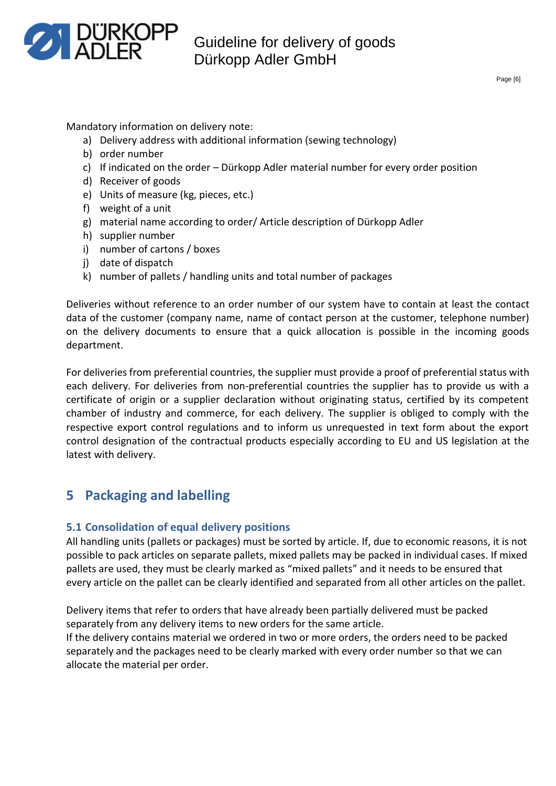

Mandatory information on delivery note:

- a) Delivery address with additional information (sewing technology)
- b) order number
- c) If indicated on the order Dürkopp Adler material number for every order position
- d) Receiver of goods
- e) Units of measure (kg, pieces, etc.)
- f) weight of a unit
- g) material name according to order/ Article description of Dürkopp Adler
- h) supplier number
- i) number of cartons / boxes
- j) date of dispatch
- k) number of pallets / handling units and total number of packages

Deliveries without reference to an order number of our system have to contain at least the contact data of the customer (company name, name of contact person at the customer, telephone number) on the delivery documents to ensure that a quick allocation is possible in the incoming goods department.

For deliveries from preferential countries, the supplier must provide a proof of preferential status with each delivery. For deliveries from non-preferential countries the supplier has to provide us with a certificate of origin or a supplier declaration without originating status, certified by its competent chamber of industry and commerce, for each delivery. The supplier is obliged to comply with the respective export control regulations and to inform us unrequested in text form about the export control designation of the contractual products especially according to EU and US legislation at the latest with delivery.

### <span id="page-5-0"></span>**5 Packaging and labelling**

#### <span id="page-5-1"></span>**5.1 Consolidation of equal delivery positions**

All handling units (pallets or packages) must be sorted by article. If, due to economic reasons, it is not possible to pack articles on separate pallets, mixed pallets may be packed in individual cases. If mixed pallets are used, they must be clearly marked as "mixed pallets" and it needs to be ensured that every article on the pallet can be clearly identified and separated from all other articles on the pallet.

Delivery items that refer to orders that have already been partially delivered must be packed separately from any delivery items to new orders for the same article.

If the delivery contains material we ordered in two or more orders, the orders need to be packed separately and the packages need to be clearly marked with every order number so that we can allocate the material per order.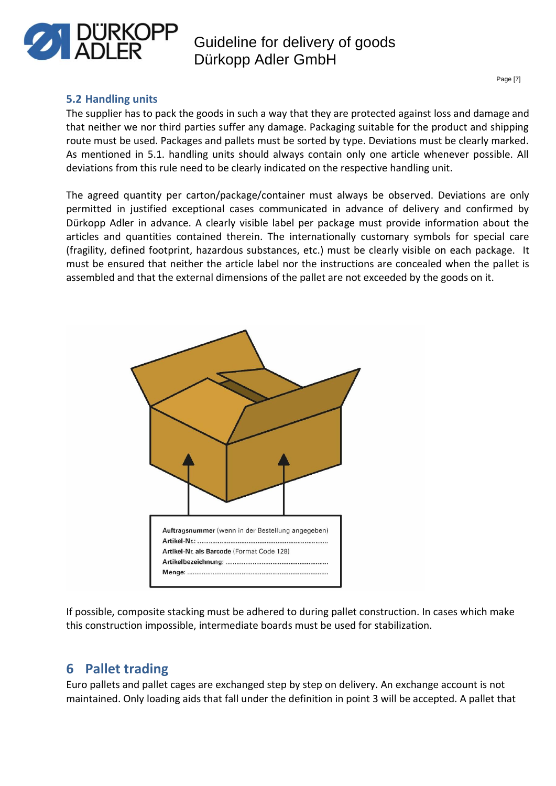

#### <span id="page-6-0"></span>**5.2 Handling units**

The supplier has to pack the goods in such a way that they are protected against loss and damage and that neither we nor third parties suffer any damage. Packaging suitable for the product and shipping route must be used. Packages and pallets must be sorted by type. Deviations must be clearly marked. As mentioned in 5.1. handling units should always contain only one article whenever possible. All deviations from this rule need to be clearly indicated on the respective handling unit.

The agreed quantity per carton/package/container must always be observed. Deviations are only permitted in justified exceptional cases communicated in advance of delivery and confirmed by Dürkopp Adler in advance. A clearly visible label per package must provide information about the articles and quantities contained therein. The internationally customary symbols for special care (fragility, defined footprint, hazardous substances, etc.) must be clearly visible on each package. It must be ensured that neither the article label nor the instructions are concealed when the pallet is assembled and that the external dimensions of the pallet are not exceeded by the goods on it.



If possible, composite stacking must be adhered to during pallet construction. In cases which make this construction impossible, intermediate boards must be used for stabilization.

### <span id="page-6-1"></span>**6 Pallet trading**

Euro pallets and pallet cages are exchanged step by step on delivery. An exchange account is not maintained. Only loading aids that fall under the definition in point 3 will be accepted. A pallet that